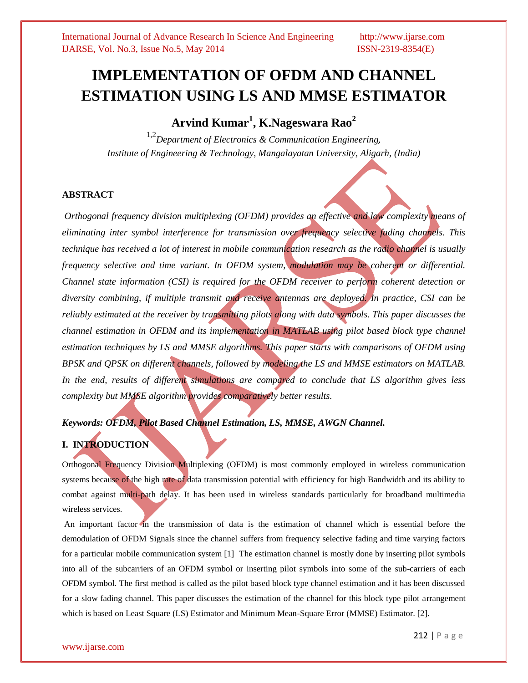# **IMPLEMENTATION OF OFDM AND CHANNEL ESTIMATION USING LS AND MMSE ESTIMATOR**

# **Arvind Kumar<sup>1</sup> , K.Nageswara Rao<sup>2</sup>**

1,2*Department of Electronics & Communication Engineering, Institute of Engineering & Technology, Mangalayatan University, Aligarh, (India)*

#### **ABSTRACT**

*Orthogonal frequency division multiplexing (OFDM) provides an effective and low complexity means of eliminating inter symbol interference for transmission over frequency selective fading channels. This technique has received a lot of interest in mobile communication research as the radio channel is usually frequency selective and time variant. In OFDM system, modulation may be coherent or differential. Channel state information (CSI) is required for the OFDM receiver to perform coherent detection or diversity combining, if multiple transmit and receive antennas are deployed. In practice, CSI can be reliably estimated at the receiver by transmitting pilots along with data symbols. This paper discusses the channel estimation in OFDM and its implementation in MATLAB using pilot based block type channel estimation techniques by LS and MMSE algorithms. This paper starts with comparisons of OFDM using BPSK and QPSK on different channels, followed by modeling the LS and MMSE estimators on MATLAB. In the end, results of different simulations are compared to conclude that LS algorithm gives less complexity but MMSE algorithm provides comparatively better results.* 

### *Keywords: OFDM, Pilot Based Channel Estimation, LS, MMSE, AWGN Channel.*

## **I. INTRODUCTION**

Orthogonal Frequency Division Multiplexing (OFDM) is most commonly employed in wireless communication systems because of the high rate of data transmission potential with efficiency for high Bandwidth and its ability to combat against multi-path delay. It has been used in wireless standards particularly for broadband multimedia wireless services.

An important factor in the transmission of data is the estimation of channel which is essential before the demodulation of OFDM Signals since the channel suffers from frequency selective fading and time varying factors for a particular mobile communication system [1] The estimation channel is mostly done by inserting pilot symbols into all of the subcarriers of an OFDM symbol or inserting pilot symbols into some of the sub-carriers of each OFDM symbol. The first method is called as the pilot based block type channel estimation and it has been discussed for a slow fading channel. This paper discusses the estimation of the channel for this block type pilot arrangement which is based on Least Square (LS) Estimator and Minimum Mean-Square Error (MMSE) Estimator. [2].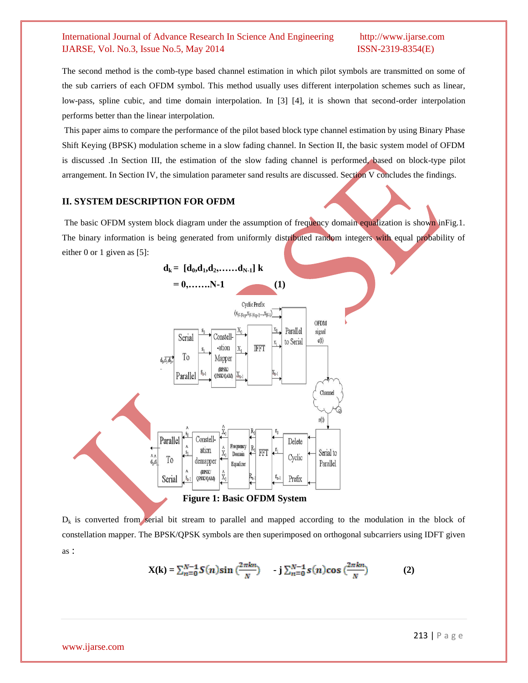The second method is the comb-type based channel estimation in which pilot symbols are transmitted on some of the sub carriers of each OFDM symbol. This method usually uses different interpolation schemes such as linear, low-pass, spline cubic, and time domain interpolation. In [3] [4], it is shown that second-order interpolation performs better than the linear interpolation.

This paper aims to compare the performance of the pilot based block type channel estimation by using Binary Phase Shift Keying (BPSK) modulation scheme in a slow fading channel. In Section II, the basic system model of OFDM is discussed .In Section III, the estimation of the slow fading channel is performed, based on block-type pilot arrangement. In Section IV, the simulation parameter sand results are discussed. Section V concludes the findings.

#### **II. SYSTEM DESCRIPTION FOR OFDM**

The basic OFDM system block diagram under the assumption of frequency domain equalization is shown inFig.1. The binary information is being generated from uniformly distributed random integers with equal probability of either 0 or 1 given as [5]:



 $D_k$  is converted from serial bit stream to parallel and mapped according to the modulation in the block of constellation mapper. The BPSK/QPSK symbols are then superimposed on orthogonal subcarriers using IDFT given as :

$$
X(k) = \sum_{n=0}^{N-1} S(n) \sin(\frac{2\pi kn}{N}) \qquad j \sum_{n=0}^{N-1} s(n) \cos(\frac{2\pi kn}{N}) \tag{2}
$$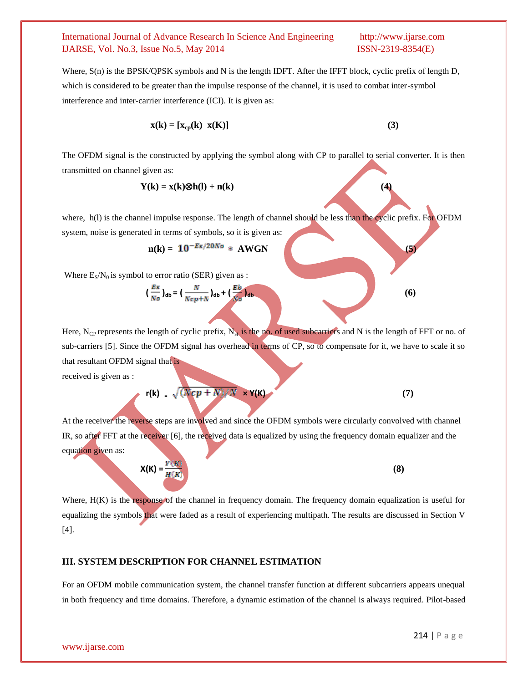Where,  $S(n)$  is the BPSK/QPSK symbols and N is the length IDFT. After the IFFT block, cyclic prefix of length D, which is considered to be greater than the impulse response of the channel, it is used to combat inter-symbol interference and inter-carrier interference (ICI). It is given as:

$$
\mathbf{x}(\mathbf{k}) = [\mathbf{x}_{cp}(\mathbf{k}) \ \mathbf{x}(\mathbf{K})]
$$
 (3)

The OFDM signal is the constructed by applying the symbol along with CP to parallel to serial converter. It is then transmitted on channel given as:

$$
Y(k) = x(k) \otimes h(l) + n(k)
$$
 (4)

where, h(l) is the channel impulse response. The length of channel should be less than the cyclic prefix. For OFDM system, noise is generated in terms of symbols, so it is given as:

$$
n(k) = 10^{-Es/20No} * AWGN
$$
 (5)

Where  $E_S/N_0$  is symbol to error ratio (SER) given as :

$$
\left(\frac{Es}{N_o}\right)_{\text{db}} = \left(\frac{N}{Ncp+N}\right)_{\text{db}} + \left(\frac{Eb}{N_o}\right)_{\text{db}}\tag{6}
$$

Here, N<sub>CP</sub> represents the length of cyclic prefix,  $N_{st}$  is the no. of used subcarriers and N is the length of FFT or no. of sub-carriers [5]. Since the OFDM signal has overhead in terms of CP, so to compensate for it, we have to scale it so that resultant OFDM signal that is

received is given as :

$$
r(k) = \sqrt{(Ncp + N)/N} \times Y(k)
$$
 (7)

At the receiver the reverse steps are involved and since the OFDM symbols were circularly convolved with channel IR, so after FFT at the receiver [6], the received data is equalized by using the frequency domain equalizer and the equation given as:

$$
X(K) = \frac{Y(K)}{H(K)}\tag{8}
$$

Where,  $H(K)$  is the response of the channel in frequency domain. The frequency domain equalization is useful for equalizing the symbols that were faded as a result of experiencing multipath. The results are discussed in Section V [4].

#### **III. SYSTEM DESCRIPTION FOR CHANNEL ESTIMATION**

For an OFDM mobile communication system, the channel transfer function at different subcarriers appears unequal in both frequency and time domains. Therefore, a dynamic estimation of the channel is always required. Pilot-based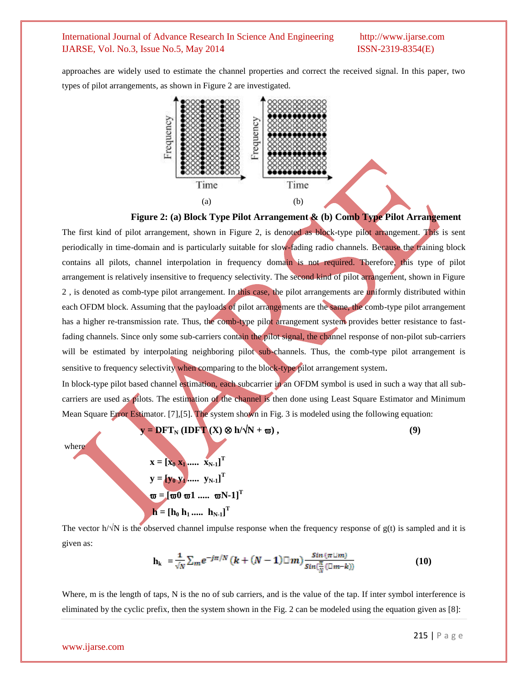approaches are widely used to estimate the channel properties and correct the received signal. In this paper, two types of pilot arrangements, as shown in Figure 2 are investigated.



**Figure 2: (a) Block Type Pilot Arrangement & (b) Comb Type Pilot Arrangement**

The first kind of pilot arrangement, shown in Figure 2, is denoted as block-type pilot arrangement. This is sent periodically in time-domain and is particularly suitable for slow-fading radio channels. Because the training block contains all pilots, channel interpolation in frequency domain is not required. Therefore, this type of pilot arrangement is relatively insensitive to frequency selectivity. The second kind of pilot arrangement, shown in Figure 2 , is denoted as comb-type pilot arrangement. In this case, the pilot arrangements are uniformly distributed within each OFDM block. Assuming that the payloads of pilot arrangements are the same, the comb-type pilot arrangement has a higher re-transmission rate. Thus, the comb-type pilot arrangement system provides better resistance to fastfading channels. Since only some sub-carriers contain the pilot signal, the channel response of non-pilot sub-carriers will be estimated by interpolating neighboring pilot sub-channels. Thus, the comb-type pilot arrangement is sensitive to frequency selectivity when comparing to the block-type pilot arrangement system.

In block-type pilot based channel estimation, each subcarrier in an OFDM symbol is used in such a way that all subcarriers are used as pilots. The estimation of the channel is then done using Least Square Estimator and Minimum Mean Square Error Estimator. [7],[5]. The system shown in Fig. 3 is modeled using the following equation:

$$
y = DFT_N (IDFT (X) \otimes h/\sqrt{N} + \omega),
$$
\nwhere  
\n
$$
x = [x_0 x_1 \dots x_{N-1}]^T
$$
\n
$$
y = [y_0 y_1 \dots y_{N-1}]^T
$$
\n
$$
\omega = [\omega 0 \omega 1 \dots \omega N - 1]^T
$$
\n
$$
h = [h_0 h_1 \dots h_{N-1}]^T
$$
\nThe vector  $h/\sqrt{N}$  is the observed channel impulse response when the frequency response of  $g(t)$  is sampled and it is

given as:

$$
\mathbf{h}_{k} = \frac{1}{\sqrt{N}} \sum_{m} e^{-j\pi/N} \left( k + (N-1) \Box m \right) \frac{\sin \left( \pi \Box m \right)}{\sin \left( \frac{\pi}{N} \left( \Box m - k \right) \right)} \tag{10}
$$

Where, m is the length of taps, N is the no of sub carriers, and is the value of the tap. If inter symbol interference is eliminated by the cyclic prefix, then the system shown in the Fig. 2 can be modeled using the equation given as [8]: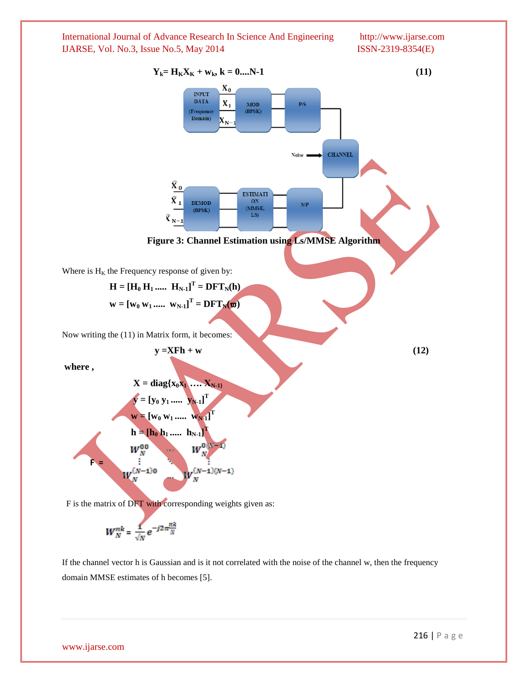

$$
W_N^{nk} = \frac{1}{\sqrt{N}} e^{-j2\pi \frac{nk}{N}}
$$

If the channel vector h is Gaussian and is it not correlated with the noise of the channel w, then the frequency domain MMSE estimates of h becomes [5].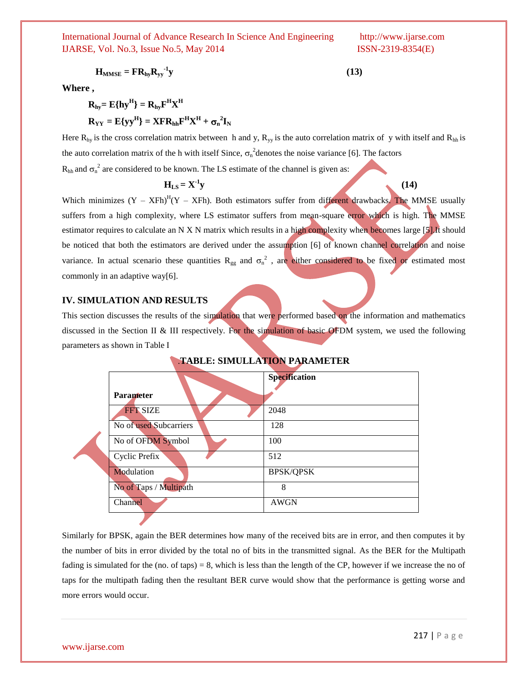$$
H_{MMSE} = FR_{hy}R_{yy}^{-1}y
$$
 (13)

**Where ,** 

$$
R_{hy} = E\{hy^H\} = R_{hy}F^H X^H
$$
  

$$
R_{YY} = E\{yy^H\} = XFR_{hh}F^H X^H + \sigma_n^2 I_N
$$

Here  $R_{hy}$  is the cross correlation matrix between h and y,  $R_{yy}$  is the auto correlation matrix of y with itself and  $R_{hh}$  is the auto correlation matrix of the h with itself Since,  $\sigma_n^2$  denotes the noise variance [6]. The factors  $R_{hh}$  and  $\sigma_n^2$  are considered to be known. The LS estimate of the channel is given as:

$$
H_{LS} = X^{-1}y
$$
 (14)

Which minimizes  $(Y - XFh)^{H}(Y - XFh)$ . Both estimators suffer from different drawbacks. The MMSE usually suffers from a high complexity, where LS estimator suffers from mean-square error which is high. The MMSE estimator requires to calculate an N X N matrix which results in a high complexity when becomes large [5].It should be noticed that both the estimators are derived under the assumption [6] of known channel correlation and noise variance. In actual scenario these quantities  $R_{gg}$  and  $\sigma_n^2$ , are either considered to be fixed or estimated most commonly in an adaptive way[6].

#### **IV. SIMULATION AND RESULTS**

This section discusses the results of the simulation that were performed based on the information and mathematics discussed in the Section II & III respectively. For the simulation of basic OFDM system, we used the following parameters as shown in Table I

|                        | Specification    |
|------------------------|------------------|
| <b>Parameter</b>       |                  |
| <b>FFT SIZE</b>        | 2048             |
| No of used Subcarriers | 128              |
| No of OFDM Symbol      | 100              |
| Cyclic Prefix          | 512              |
| Modulation             | <b>BPSK/QPSK</b> |
| No of Taps / Multipath | 8                |
| Channel                | <b>AWGN</b>      |
|                        |                  |

#### .**TABLE: SIMULLATION PARAMETER**

Similarly for BPSK, again the BER determines how many of the received bits are in error, and then computes it by the number of bits in error divided by the total no of bits in the transmitted signal. As the BER for the Multipath fading is simulated for the (no. of taps) = 8, which is less than the length of the CP, however if we increase the no of taps for the multipath fading then the resultant BER curve would show that the performance is getting worse and more errors would occur.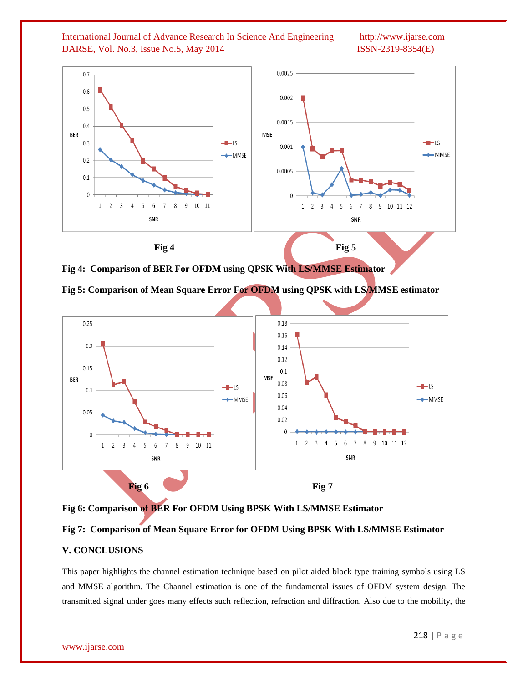

**Fig 4: Comparison of BER For OFDM using QPSK With LS/MMSE Estimator**





**Fig 6: Comparison of BER For OFDM Using BPSK With LS/MMSE Estimator**

### **Fig 7: Comparison of Mean Square Error for OFDM Using BPSK With LS/MMSE Estimator**

### **V. CONCLUSIONS**

This paper highlights the channel estimation technique based on pilot aided block type training symbols using LS and MMSE algorithm. The Channel estimation is one of the fundamental issues of OFDM system design. The transmitted signal under goes many effects such reflection, refraction and diffraction. Also due to the mobility, the